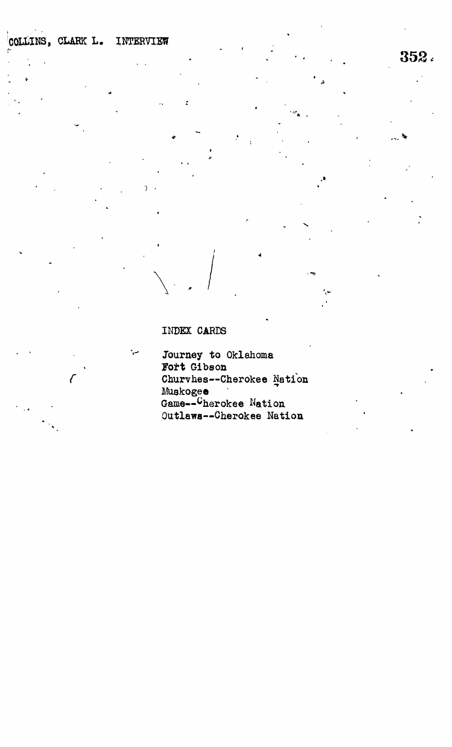## INDEX CARDS

ر.

Journey to Oklahoma Fort Gibson Churvhes--Cherokee Nation Muskogee<br>Game--Cherokee Nation<br>Outlaws--Cherokee Nation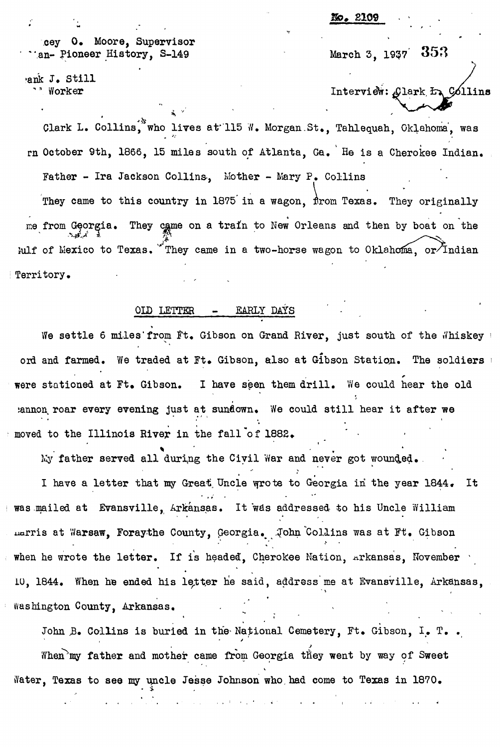. **2109**

0. Moore, Supervisor an- Pioneer History, S-149

•ank J. Still ^ Worker

353 March 3, 1937'

Interview: Glark <del>In</del>, Collins

Clark L. Collins, who lives at 115 W. Morgan St., Tahlequah, Oklahoma, was rn October 9th, 1866, 15 miles south of Atlanta, Ga. He is a Cherokee Indian. Father - Ira Jackson Collins, Mother - Mary P. Collins  $\sqrt{ }$ They came to this country in 1875 in a wagon, from Texas. They originally me from Georgia. They came on a train to New Orleans and then by boat on the Fulf of Mexico to Texas. They came in a two-horse wagon to Oklahoma, or Indian Territory.

## OLD LETTER EARLY DAYS

We settle 6 miles' from Ft. Gibson on Grand River, just south of the Whiskey ord and farmed. We traded at Ft. Gibson, also at Gibson Station. The soldiers and were stationed at Ft. Gibson. I have seen them drill. We could hear the old :annon, roar every evening just at sunflown. We could still hear it after we moved to the Illinois River in the fall of 1882.

My father served all during the Civil War and never got wounded.

I have a letter that my Great, Uncle wrote to Georgia in the year 1844 • It \* \* # • \* was mailed at Evansville, Arkansas. It was addressed to his Uncle William Larris at Warsaw, Foraythe County, Georgia. John Collins was at Ft. Gibson when he wrote the letter. If is headed, Cherokee Nation, Arkansas, November IU, 1844. ¥/hen he ended his letter he said, address me at Bvansville, Arkansas,  $\mathcal{N} = \{x_1, x_2, \ldots, x_n\}$ 

John B. Collins is buried in the National Cemetery, Ft. Gibson, I. T.. When'my father and mother came from Georgia they went by way of Sweet ffater, Texas to see my uncle Jesse Johnson who, had come to Texas in 1870.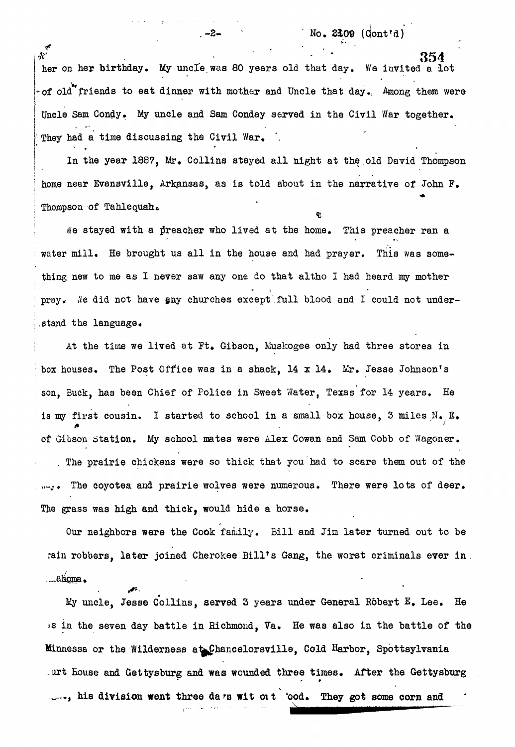$-2$  -  $N_{\text{O}}$  2109 (Cont<sup>t</sup>d)

 $*$  ber on her birthday. My uncle was 80 years old that day. We invited a lot  $\sim$  of old friends to eat dinner with mother and Uncle that day. Among them were Uncle Sam Condy. My uncle and Sam Conday served in the Civil War together. Uncle Sam Condy. My uncle and Sam Conday served in the Civil War together.

They had a time discussing the Civil War. *'.* in the year 1887, Mr. Collins stayed all night at the old David home near Evansville, Arkansas, as is told about in the narrative of John F. Thompson of Tahlequah.

Ne stayed with a preacher who lived at the home. This preacher ran a water mill. He brought us all in the house and had prayer. This was something new to me as I never saw any one do that altho I had heard my mother pray. We did not have any churches except full blood and I could not understand the language.

At the time we lived at Ft. Gibson, Muskogee only had three stores in box houses. The Post Office was in a shack,  $14 \times 14$ . Mr. Jesse Johnson's son, Buck, has been Chief of Police in Sweet Water, Texas for 14 years. He is my first cousin. I started to school in a small box house, 3 miles  $N_{\bullet}$   $E_{\bullet}$ of Gibson Station. My school mates were Alex Cowan and Sam Cobb of Wagoner. . The prairie chickens were so thick that you had to scare them out of the ...... The coyotes and prairie wolves were numerous. There were lots of deer. The grass was high and thick, would hide a horse.

Our neighbors were the Cook family. Bill and Jim later turned out to be rain robbers, later joined Cherokee Bill's Gang, the worst criminals ever in.  $\epsilon$ ain robbers, later joined Cherokee Billis Gang, the worst criminals even in  $\epsilon$  can get in  $\epsilon$ 

My uncle, Jesse Collins, served 3 years under General Robert  $E_$ . Lee. He ss in the seven day battle in Richmond, Ya. He was also in the battle of the Minnessa or the Wilderness at Chancelorsville, Cold Harbor, Spottsylvania art House and Gettysburg and **was** wounded three times. After the Gettysburg ..., his division went three da rs wit oit 'ood. They got some corn and